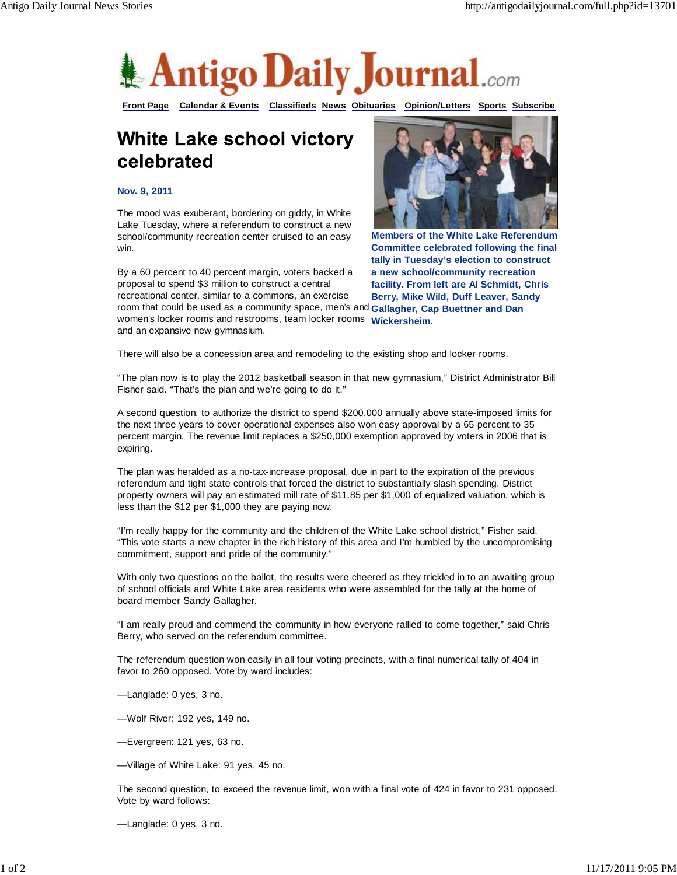

**Front Page Calendar & Events Classifieds News Obituaries Opinion/Letters Sports Subscribe**

## **White Lake school victory** celebrated

## **Nov. 9, 2011**

The mood was exuberant, bordering on giddy, in White Lake Tuesday, where a referendum to construct a new school/community recreation center cruised to an easy win.

room that could be used as a community space, men's and Gallagher, Cap Buettner and Dan women's locker rooms and restrooms, team locker rooms Wickersheim. By a 60 percent to 40 percent margin, voters backed a proposal to spend \$3 million to construct a central recreational center, similar to a commons, an exercise and an expansive new gymnasium.



**Members of the White Lake Referendum Committee celebrated following the final tally in Tuesday's election to construct a new school/community recreation facility. From left are Al Schmidt, Chris Berry, Mike Wild, Duff Leaver, Sandy**

There will also be a concession area and remodeling to the existing shop and locker rooms.

"The plan now is to play the 2012 basketball season in that new gymnasium," District Administrator Bill Fisher said. "That's the plan and we're going to do it."

A second question, to authorize the district to spend \$200,000 annually above state-imposed limits for the next three years to cover operational expenses also won easy approval by a 65 percent to 35 percent margin. The revenue limit replaces a \$250,000 exemption approved by voters in 2006 that is expiring.

The plan was heralded as a no-tax-increase proposal, due in part to the expiration of the previous referendum and tight state controls that forced the district to substantially slash spending. District property owners will pay an estimated mill rate of \$11.85 per \$1,000 of equalized valuation, which is less than the \$12 per \$1,000 they are paying now.

"I'm really happy for the community and the children of the White Lake school district," Fisher said. "This vote starts a new chapter in the rich history of this area and I'm humbled by the uncompromising commitment, support and pride of the community."

With only two questions on the ballot, the results were cheered as they trickled in to an awaiting group of school officials and White Lake area residents who were assembled for the tally at the home of board member Sandy Gallagher.

"I am really proud and commend the community in how everyone rallied to come together," said Chris Berry, who served on the referendum committee.

The referendum question won easily in all four voting precincts, with a final numerical tally of 404 in favor to 260 opposed. Vote by ward includes:

—Langlade: 0 yes, 3 no.

—Wolf River: 192 yes, 149 no.

—Evergreen: 121 yes, 63 no.

—Village of White Lake: 91 yes, 45 no.

The second question, to exceed the revenue limit, won with a final vote of 424 in favor to 231 opposed. Vote by ward follows:

—Langlade: 0 yes, 3 no.